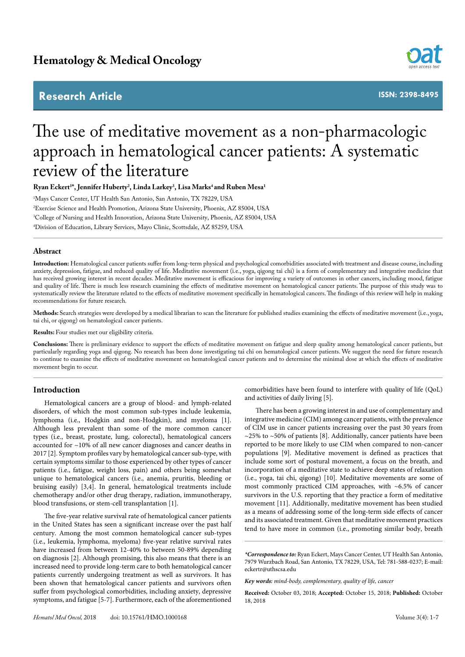# **Research Article ISSN: 2398-8495**



# The use of meditative movement as a non-pharmacologic approach in hematological cancer patients: A systematic review of the literature

**Ryan Eckert1 \*, Jennifer Huberty2 , Linda Larkey3 , Lisa Marks4 and Ruben Mesa1**

 Mays Cancer Center, UT Health San Antonio, San Antonio, TX 78229, USA Exercise Science and Health Promotion, Arizona State University, Phoenix, AZ 85004, USA College of Nursing and Health Innovation, Arizona State University, Phoenix, AZ 85004, USA Division of Education, Library Services, Mayo Clinic, Scottsdale, AZ 85259, USA

# **Abstract**

**Introduction:** Hematological cancer patients suffer from long-term physical and psychological comorbidities associated with treatment and disease course, including anxiety, depression, fatigue, and reduced quality of life. Meditative movement (i.e., yoga, qigong tai chi) is a form of complementary and integrative medicine that has received growing interest in recent decades. Meditative movement is efficacious for improving a variety of outcomes in other cancers, including mood, fatigue and quality of life. There is much less research examining the effects of meditative movement on hematological cancer patients. The purpose of this study was to systematically review the literature related to the effects of meditative movement specifically in hematological cancers. The findings of this review will help in making recommendations for future research.

**Methods:** Search strategies were developed by a medical librarian to scan the literature for published studies examining the effects of meditative movement (i.e., yoga, tai chi, or qigong) on hematological cancer patients.

**Results:** Four studies met our eligibility criteria.

**Conclusions:** There is preliminary evidence to support the effects of meditative movement on fatigue and sleep quality among hematological cancer patients, but particularly regarding yoga and qigong. No research has been done investigating tai chi on hematological cancer patients. We suggest the need for future research to continue to examine the effects of meditative movement on hematological cancer patients and to determine the minimal dose at which the effects of meditative movement begin to occur.

# **Introduction**

Hematological cancers are a group of blood- and lymph-related disorders, of which the most common sub-types include leukemia, lymphoma (i.e., Hodgkin and non-Hodgkin), and myeloma [1]. Although less prevalent than some of the more common cancer types (i.e., breast, prostate, lung, colorectal), hematological cancers accounted for ~10% of all new cancer diagnoses and cancer deaths in 2017 [2]. Symptom profiles vary by hematological cancer sub-type, with certain symptoms similar to those experienced by other types of cancer patients (i.e., fatigue, weight loss, pain) and others being somewhat unique to hematological cancers (i.e., anemia, pruritis, bleeding or bruising easily) [3,4]. In general, hematological treatments include chemotherapy and/or other drug therapy, radiation, immunotherapy, blood transfusions, or stem-cell transplantation [1].

The five-year relative survival rate of hematological cancer patients in the United States has seen a significant increase over the past half century. Among the most common hematological cancer sub-types (i.e., leukemia, lymphoma, myeloma) five-year relative survival rates have increased from between 12-40% to between 50-89% depending on diagnosis [2]. Although promising, this also means that there is an increased need to provide long-term care to both hematological cancer patients currently undergoing treatment as well as survivors. It has been shown that hematological cancer patients and survivors often suffer from psychological comorbidities, including anxiety, depressive symptoms, and fatigue [5-7]. Furthermore, each of the aforementioned comorbidities have been found to interfere with quality of life (QoL) and activities of daily living [5].

There has been a growing interest in and use of complementary and integrative medicine (CIM) among cancer patients, with the prevalence of CIM use in cancer patients increasing over the past 30 years from  $\sim$ 25% to  $\sim$ 50% of patients [8]. Additionally, cancer patients have been reported to be more likely to use CIM when compared to non-cancer populations [9]. Meditative movement is defined as practices that include some sort of postural movement, a focus on the breath, and incorporation of a meditative state to achieve deep states of relaxation (i.e., yoga, tai chi, qigong) [10]. Meditative movements are some of most commonly practiced CIM approaches, with ~6.5% of cancer survivors in the U.S. reporting that they practice a form of meditative movement [11]. Additionally, meditative movement has been studied as a means of addressing some of the long-term side effects of cancer and its associated treatment. Given that meditative movement practices tend to have more in common (i.e., promoting similar body, breath

*<sup>\*</sup>Correspondence to:* Ryan Eckert, Mays Cancer Center, UT Health San Antonio, 7979 Wurzbach Road, San Antonio, TX 78229, USA, Tel: 781-588-0237; E-mail: eckertr@uthscsa.edu

*Key words: mind-body, complementary, quality of life, cancer*

**Received:** October 03, 2018; **Accepted:** October 15, 2018; **Published:** October 18, 2018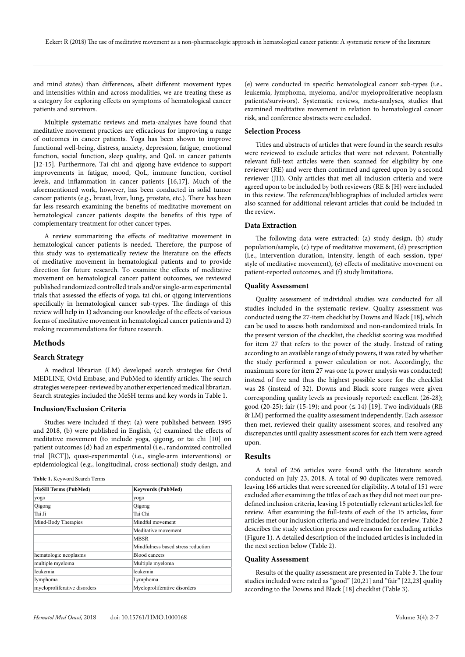and mind states) than differences, albeit different movement types and intensities within and across modalities, we are treating these as a category for exploring effects on symptoms of hematological cancer patients and survivors.

Multiple systematic reviews and meta-analyses have found that meditative movement practices are efficacious for improving a range of outcomes in cancer patients. Yoga has been shown to improve functional well-being, distress, anxiety, depression, fatigue, emotional function, social function, sleep quality, and QoL in cancer patients [12-15]. Furthermore, Tai chi and qigong have evidence to support improvements in fatigue, mood, QoL, immune function, cortisol levels, and inflammation in cancer patients [16,17]. Much of the aforementioned work, however, has been conducted in solid tumor cancer patients (e.g., breast, liver, lung, prostate, etc.). There has been far less research examining the benefits of meditative movement on hematological cancer patients despite the benefits of this type of complementary treatment for other cancer types.

A review summarizing the effects of meditative movement in hematological cancer patients is needed. Therefore, the purpose of this study was to systematically review the literature on the effects of meditative movement in hematological patients and to provide direction for future research. To examine the effects of meditative movement on hematological cancer patient outcomes, we reviewed published randomized controlled trials and/or single-arm experimental trials that assessed the effects of yoga, tai chi, or qigong interventions specifically in hematological cancer sub-types. The findings of this review will help in 1) advancing our knowledge of the effects of various forms of meditative movement in hematological cancer patients and 2) making recommendations for future research.

#### **Methods**

# **Search Strategy**

A medical librarian (LM) developed search strategies for Ovid MEDLINE, Ovid Embase, and PubMed to identify articles. The search strategies were peer-reviewed by another experienced medical librarian. Search strategies included the MeSH terms and key words in Table 1.

# **Inclusion/Exclusion Criteria**

Studies were included if they: (a) were published between 1995 and 2018, (b) were published in English, (c) examined the effects of meditative movement (to include yoga, qigong, or tai chi [10] on patient outcomes (d) had an experimental (i.e., randomized controlled trial [RCT]), quasi-experimental (i.e., single-arm interventions) or epidemiological (e.g., longitudinal, cross-sectional) study design, and

#### **Table 1.** Keyword Search Terms

| <b>MeSH Terms (PubMed)</b>   | <b>Keywords (PubMed)</b>           |  |  |
|------------------------------|------------------------------------|--|--|
| yoga                         | yoga                               |  |  |
| Qigong                       | Qigong                             |  |  |
| Tai Ji                       | Tai Chi                            |  |  |
| Mind-Body Therapies          | Mindful movement                   |  |  |
|                              | Meditative movement                |  |  |
|                              | <b>MBSR</b>                        |  |  |
|                              | Mindfulness based stress reduction |  |  |
| hematologic neoplasms        | <b>Blood cancers</b>               |  |  |
| multiple myeloma             | Multiple myeloma                   |  |  |
| leukemia                     | leukemia                           |  |  |
| lymphoma                     | Lymphoma                           |  |  |
| myeloproliferative disorders | Myeloproliferative disorders       |  |  |

(e) were conducted in specific hematological cancer sub-types (i.e., leukemia, lymphoma, myeloma, and/or myeloproliferative neoplasm patients/survivors). Systematic reviews, meta-analyses, studies that examined meditative movement in relation to hematological cancer risk, and conference abstracts were excluded.

# **Selection Process**

Titles and abstracts of articles that were found in the search results were reviewed to exclude articles that were not relevant. Potentially relevant full-text articles were then scanned for eligibility by one reviewer (RE) and were then confirmed and agreed upon by a second reviewer (JH). Only articles that met all inclusion criteria and were agreed upon to be included by both reviewers (RE & JH) were included in this review. The references/bibliographies of included articles were also scanned for additional relevant articles that could be included in the review.

# **Data Extraction**

The following data were extracted: (a) study design, (b) study population/sample, (c) type of meditative movement, (d) prescription (i.e., intervention duration, intensity, length of each session, type/ style of meditative movement), (e) effects of meditative movement on patient-reported outcomes, and (f) study limitations.

#### **Quality Assessment**

Quality assessment of individual studies was conducted for all studies included in the systematic review. Quality assessment was conducted using the 27-item checklist by Downs and Black [18], which can be used to assess both randomized and non-randomized trials. In the present version of the checklist, the checklist scoring was modified for item 27 that refers to the power of the study. Instead of rating according to an available range of study powers, it was rated by whether the study performed a power calculation or not. Accordingly, the maximum score for item 27 was one (a power analysis was conducted) instead of five and thus the highest possible score for the checklist was 28 (instead of 32). Downs and Black score ranges were given corresponding quality levels as previously reported: excellent (26-28); good (20-25); fair (15-19); and poor  $( \leq 14)$  [19]. Two individuals (RE & LM) performed the quality assessment independently. Each assessor then met, reviewed their quality assessment scores, and resolved any discrepancies until quality assessment scores for each item were agreed upon.

# **Results**

A total of 256 articles were found with the literature search conducted on July 23, 2018. A total of 90 duplicates were removed, leaving 166 articles that were screened for eligibility. A total of 151 were excluded after examining the titles of each as they did not meet our predefined inclusion criteria, leaving 15 potentially relevant articles left for review. After examining the full-texts of each of the 15 articles, four articles met our inclusion criteria and were included for review. Table 2 describes the study selection process and reasons for excluding articles (Figure 1). A detailed description of the included articles is included in the next section below (Table 2).

# **Quality Assessment**

Results of the quality assessment are presented in Table 3. The four studies included were rated as "good" [20,21] and "fair" [22,23] quality according to the Downs and Black [18] checklist (Table 3).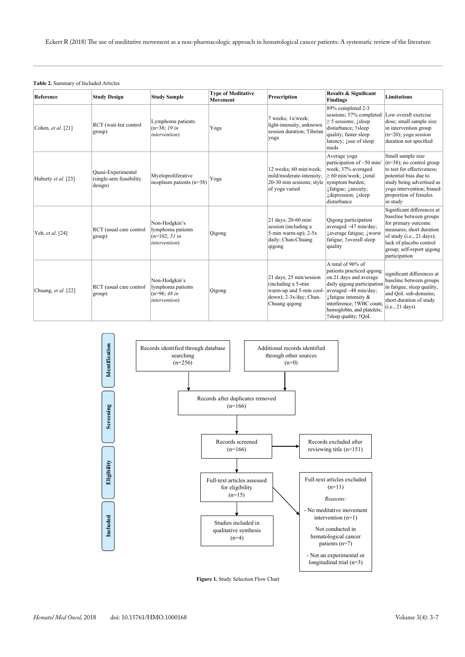Eckert R (2018) The use of meditative movement as a non-pharmacologic approach in hematological cancer patients: A systematic review of the literature

#### **Table 2.** Summary of Included Articles

| Reference           | <b>Study Design</b>                                       | <b>Study Sample</b>                                                            | <b>Type of Meditative</b><br>Movement | Prescription                                                                                                        | <b>Results &amp; Significant</b><br><b>Findings</b>                                                                                                                                                                                                     | <b>Limitations</b>                                                                                                                                                                                             |
|---------------------|-----------------------------------------------------------|--------------------------------------------------------------------------------|---------------------------------------|---------------------------------------------------------------------------------------------------------------------|---------------------------------------------------------------------------------------------------------------------------------------------------------------------------------------------------------------------------------------------------------|----------------------------------------------------------------------------------------------------------------------------------------------------------------------------------------------------------------|
| Cohen, et al. [21]  | RCT (wait-list control<br>group)                          | Lymphoma patients<br>$(n=38; 19in$<br><i>intervention</i> )                    | Yoga                                  | 7 weeks; 1x/week;<br>light-intensity; unknown<br>session duration; Tibetan<br>yoga                                  | 89% completed 2-3<br>sessions; 57% completed<br>$\geq$ 5 sessions; $\downarrow$ sleep<br>disturbance; 1sleep<br>quality; faster sleep<br>latency; Luse of sleep<br>meds                                                                                 | Low overall exercise<br>dose; small sample size<br>in intervention group<br>$(n=20)$ ; yoga session<br>duration not specified                                                                                  |
| Huberty et al. [23] | Quasi-Experimental<br>(single-arm feasibility)<br>design) | Myeloproliferative<br>neoplasm patients $(n=38)$                               | Yoga                                  | 12 weeks; 60 min/week;<br>mild/moderate-intensity;<br>20-30 min sessions; style<br>of yoga varied                   | Average yoga<br>participation of $\sim 50$ min/<br>week; 37% averaged<br>$\geq 60$ min/week; $\downarrow$ total<br>symptom burden;<br>Ifatigue; lanxiety;<br>Idepression; Isleep<br>disturbance                                                         | Small sample size<br>$(n=38)$ ; no control group<br>to test for effectiveness:<br>potential bias due to<br>study being advertised as<br>yoga intervention; biased<br>proportion of females<br>in study         |
| Yeh, et al. [24]    | RCT (usual care control<br>group)                         | Non-Hodgkin's<br>lymphoma patients<br>$(n=102; 51 in$<br><i>intervention</i> ) | Qigong                                | 21 days; 20-60 min/<br>session (including a<br>$5$ -min warm-up); $2-5x$<br>daily; Chan-Chuang<br>qigong            | Qigong participation<br>averaged $\sim$ 47 min/day;<br>↓ average fatigue; ↓ worst<br>fatigue; ^overall sleep<br>quality                                                                                                                                 | Significant differences at<br>baseline between groups<br>for primary outcome<br>measures; short duration<br>of study (i.e., 21 days);<br>lack of placebo control<br>group; self-report qigong<br>participation |
| Chuang, et al. [22] | RCT (usual care control<br>group)                         | Non-Hodgkin's<br>lymphoma patients<br>$(n=96; 48in$<br><i>intervention</i> )   | Qigong                                | 21 days; 25 min/session<br>(including a 5-min<br>warm-up and 5-min cool-<br>down); 2-3x/day; Chan-<br>Chuang qigong | A total of 96% of<br>patients practiced qigong<br>on 21 days and average<br>daily qigong participation<br>averaged ~48 min/day;<br>$\downarrow$ fatigue intensity &<br>interference; 1WBC count.<br>hemoglobin, and platelets;<br>↑sleep quality; ↑ QoL | significant differences at<br>baseline between groups<br>in fatigue, sleep quality,<br>and QoL sub-domains;<br>short duration of study<br>(i.e., 21 days)                                                      |



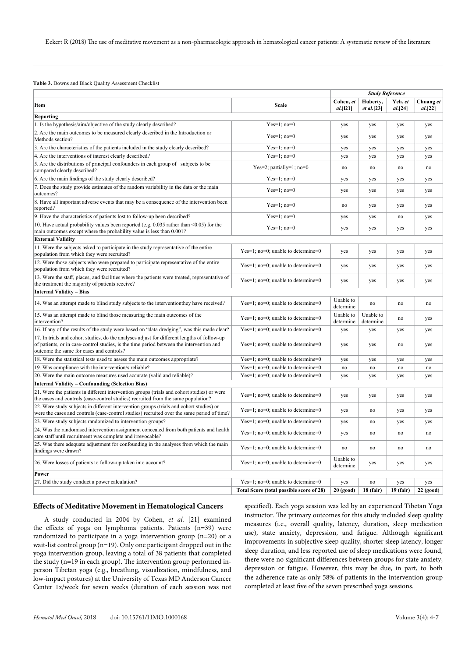#### **Table 3.** Downs and Black Quality Assessment Checklist

|                                                                                                                                                                                                                                     |                                          | <b>Study Reference</b> |                        |                    |                      |  |  |  |  |
|-------------------------------------------------------------------------------------------------------------------------------------------------------------------------------------------------------------------------------------|------------------------------------------|------------------------|------------------------|--------------------|----------------------|--|--|--|--|
| Item                                                                                                                                                                                                                                | <b>Scale</b>                             | Cohen, et<br>al.[121]  | Huberty,<br>et al.[23] | Yeh, et<br>al.[24] | Chuang et<br>al.[22] |  |  |  |  |
| Reporting                                                                                                                                                                                                                           |                                          |                        |                        |                    |                      |  |  |  |  |
| 1. Is the hypothesis/aim/objective of the study clearly described?                                                                                                                                                                  | $Yes=1; no=0$                            | yes                    | yes                    | yes                | yes                  |  |  |  |  |
| 2. Are the main outcomes to be measured clearly described in the Introduction or<br>Methods section?                                                                                                                                | $Yes=1:no=0$                             | yes                    | yes                    | yes                | yes                  |  |  |  |  |
| 3. Are the characteristics of the patients included in the study clearly described?                                                                                                                                                 | $Yes=1:no=0$                             | yes                    | yes                    | yes                | yes                  |  |  |  |  |
| 4. Are the interventions of interest clearly described?                                                                                                                                                                             | $Yes=1; no=0$                            | yes                    | yes                    | yes                | yes                  |  |  |  |  |
| 5. Are the distributions of principal confounders in each group of subjects to be<br>compared clearly described?                                                                                                                    | Yes=2; partially=1; $no=0$               | no                     | no                     | no                 | no                   |  |  |  |  |
| 6. Are the main findings of the study clearly described?                                                                                                                                                                            | $Yes=1; no=0$                            | yes                    | yes                    | yes                | yes                  |  |  |  |  |
| 7. Does the study provide estimates of the random variability in the data or the main<br>outcomes?                                                                                                                                  | $Yes=1:no=0$                             | yes                    | yes                    | yes                | yes                  |  |  |  |  |
| 8. Have all important adverse events that may be a consequence of the intervention been<br>reported?                                                                                                                                | $Yes=1; no=0$                            | no                     | yes                    | yes                | yes                  |  |  |  |  |
| 9. Have the characteristics of patients lost to follow-up been described?                                                                                                                                                           | $Yes=1; no=0$                            | yes                    | yes                    | no                 | yes                  |  |  |  |  |
| 10. Have actual probability values been reported (e.g. 0.035 rather than <0.05) for the<br>main outcomes except where the probability value is less than 0.001?                                                                     | $Yes=1; no=0$                            | yes                    | yes                    | yes                | yes                  |  |  |  |  |
| <b>External Validity</b>                                                                                                                                                                                                            |                                          |                        |                        |                    |                      |  |  |  |  |
| 11. Were the subjects asked to participate in the study representative of the entire<br>population from which they were recruited?                                                                                                  | Yes=1; no=0; unable to determine=0       | yes                    | yes                    | yes                | yes                  |  |  |  |  |
| 12. Were those subjects who were prepared to participate representative of the entire<br>population from which they were recruited?                                                                                                 | $Yes=1; no=0; unable to determine=0$     | yes                    | yes                    | yes                | yes                  |  |  |  |  |
| 13. Were the staff, places, and facilities where the patients were treated, representative of<br>the treatment the majority of patients receive?                                                                                    | Yes=1; no=0; unable to determine=0       | yes                    | yes                    | yes                | yes                  |  |  |  |  |
| <b>Internal Validity - Bias</b>                                                                                                                                                                                                     |                                          |                        |                        |                    |                      |  |  |  |  |
| 14. Was an attempt made to blind study subjects to the intervention they have received?                                                                                                                                             | $Yes=1; no=0; unable to determine=0$     | Unable to<br>determine | no                     | no                 | no                   |  |  |  |  |
| 15. Was an attempt made to blind those measuring the main outcomes of the<br>intervention?                                                                                                                                          | $Yes=1; no=0; unable to determine=0$     | Unable to<br>determine | Unable to<br>determine | no                 | yes                  |  |  |  |  |
| 16. If any of the results of the study were based on "data dredging", was this made clear?                                                                                                                                          | $Yes=1; no=0; unable to determine=0$     | yes                    | yes                    | yes                | yes                  |  |  |  |  |
| 17. In trials and cohort studies, do the analyses adjust for different lengths of follow-up<br>of patients, or in case-control studies, is the time period between the intervention and<br>outcome the same for cases and controls? | Yes=1; no=0; unable to determine=0       | yes                    | yes                    | no                 | yes                  |  |  |  |  |
| 18. Were the statistical tests used to assess the main outcomes appropriate?                                                                                                                                                        | Yes=1; no=0; unable to determine=0       | yes                    | yes                    | yes                | yes                  |  |  |  |  |
| 19. Was compliance with the intervention/s reliable?                                                                                                                                                                                | Yes=1; no=0; unable to determine=0       | no                     | no                     | no                 | no                   |  |  |  |  |
| 20. Were the main outcome measures used accurate (valid and reliable)?                                                                                                                                                              | Yes=1; no=0; unable to determine=0       | yes                    | yes                    | yes                | yes                  |  |  |  |  |
| <b>Internal Validity - Confounding (Selection Bias)</b>                                                                                                                                                                             |                                          |                        |                        |                    |                      |  |  |  |  |
| 21. Were the patients in different intervention groups (trials and cohort studies) or were<br>the cases and controls (case-control studies) recruited from the same population?                                                     | $Yes=1; no=0; unable to determine=0$     | yes                    | yes                    | yes                | yes                  |  |  |  |  |
| 22. Were study subjects in different intervention groups (trials and cohort studies) or<br>were the cases and controls (case-control studies) recruited over the same period of time?                                               | Yes=1; no=0; unable to determine=0       | yes                    | no                     | yes                | yes                  |  |  |  |  |
| 23. Were study subjects randomized to intervention groups?                                                                                                                                                                          | Yes=1; no=0; unable to determine=0       | yes                    | no                     | yes                | yes                  |  |  |  |  |
| 24. Was the randomised intervention assignment concealed from both patients and health<br>care staff until recruitment was complete and irrevocable?                                                                                | $Yes=1: no=0: unable to determine=0$     | yes                    | no                     | no                 | no                   |  |  |  |  |
| 25. Was there adequate adjustment for confounding in the analyses from which the main<br>findings were drawn?                                                                                                                       | Yes=1; no=0; unable to determine=0       | no                     | no                     | no                 | no                   |  |  |  |  |
| 26. Were losses of patients to follow-up taken into account?                                                                                                                                                                        | $Yes=1; no=0; unable to determine=0$     | Unable to<br>determine | yes                    | yes                | yes                  |  |  |  |  |
| Power                                                                                                                                                                                                                               |                                          |                        |                        |                    |                      |  |  |  |  |
| 27. Did the study conduct a power calculation?                                                                                                                                                                                      | Yes=1; no=0; unable to determine=0       | yes                    | no                     | yes                | yes                  |  |  |  |  |
|                                                                                                                                                                                                                                     | Total Score (total possible score of 28) | $20$ (good)            | $18$ (fair)            | $19$ (fair)        | $22$ (good)          |  |  |  |  |

# **Effects of Meditative Movement in Hematological Cancers**

A study conducted in 2004 by Cohen, *et al.* [21] examined the effects of yoga on lymphoma patients. Patients (n=39) were randomized to participate in a yoga intervention group (n=20) or a wait-list control group (n=19). Only one participant dropped out in the yoga intervention group, leaving a total of 38 patients that completed the study (n=19 in each group). The intervention group performed inperson Tibetan yoga (e.g., breathing, visualization, mindfulness, and low-impact postures) at the University of Texas MD Anderson Cancer Center 1x/week for seven weeks (duration of each session was not specified). Each yoga session was led by an experienced Tibetan Yoga instructor. The primary outcomes for this study included sleep quality measures (i.e., overall quality, latency, duration, sleep medication use), state anxiety, depression, and fatigue. Although significant improvements in subjective sleep quality, shorter sleep latency, longer sleep duration, and less reported use of sleep medications were found, there were no significant differences between groups for state anxiety, depression or fatigue. However, this may be due, in part, to both the adherence rate as only 58% of patients in the intervention group completed at least five of the seven prescribed yoga sessions.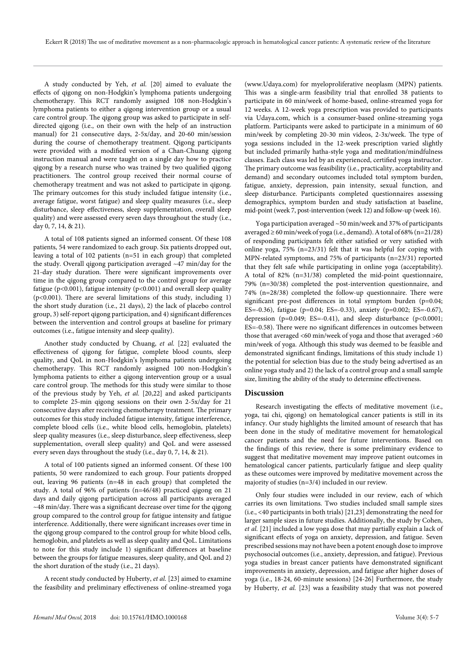A study conducted by Yeh, *et al.* [20] aimed to evaluate the effects of qigong on non-Hodgkin's lymphoma patients undergoing chemotherapy. This RCT randomly assigned 108 non-Hodgkin's lymphoma patients to either a qigong intervention group or a usual care control group. The qigong group was asked to participate in selfdirected qigong (i.e., on their own with the help of an instruction manual) for 21 consecutive days, 2-5x/day, and 20-60 min/session during the course of chemotherapy treatment. Qigong participants were provided with a modified version of a Chan-Chuang qigong instruction manual and were taught on a single day how to practice qigong by a research nurse who was trained by two qualified qigong practitioners. The control group received their normal course of chemotherapy treatment and was not asked to participate in qigong. The primary outcomes for this study included fatigue intensity (i.e., average fatigue, worst fatigue) and sleep quality measures (i.e., sleep disturbance, sleep effectiveness, sleep supplementation, overall sleep quality) and were assessed every seven days throughout the study (i.e., day 0, 7, 14, & 21).

A total of 108 patients signed an informed consent. Of these 108 patients, 54 were randomized to each group. Six patients dropped out, leaving a total of 102 patients (n=51 in each group) that completed the study. Overall qigong participation averaged ~47 min/day for the 21-day study duration. There were significant improvements over time in the qigong group compared to the control group for average fatigue ( $p<0.001$ ), fatigue intensity ( $p<0.001$ ) and overall sleep quality (p<0.001). There are several limitations of this study, including 1) the short study duration (i.e., 21 days), 2) the lack of placebo control group, 3) self-report qigong participation, and 4) significant differences between the intervention and control groups at baseline for primary outcomes (i.e., fatigue intensity and sleep quality).

Another study conducted by Chuang, *et al.* [22] evaluated the effectiveness of qigong for fatigue, complete blood counts, sleep quality, and QoL in non-Hodgkin's lymphoma patients undergoing chemotherapy. This RCT randomly assigned 100 non-Hodgkin's lymphoma patients to either a qigong intervention group or a usual care control group. The methods for this study were similar to those of the previous study by Yeh, *et al.* [20,22] and asked participants to complete 25-min qigong sessions on their own 2-5x/day for 21 consecutive days after receiving chemotherapy treatment. The primary outcomes for this study included fatigue intensity, fatigue interference, complete blood cells (i.e., white blood cells, hemoglobin, platelets) sleep quality measures (i.e., sleep disturbance, sleep effectiveness, sleep supplementation, overall sleep quality) and QoL and were assessed every seven days throughout the study (i.e., day 0, 7, 14, & 21).

A total of 100 patients signed an informed consent. Of these 100 patients, 50 were randomized to each group. Four patients dropped out, leaving 96 patients (n=48 in each group) that completed the study. A total of 96% of patients (n=46/48) practiced qigong on 21 days and daily qigong participation across all participants averaged ~48 min/day. There was a significant decrease over time for the qigong group compared to the control group for fatigue intensity and fatigue interference. Additionally, there were significant increases over time in the qigong group compared to the control group for white blood cells, hemoglobin, and platelets as well as sleep quality and QoL. Limitations to note for this study include 1) significant differences at baseline between the groups for fatigue measures, sleep quality, and QoL and 2) the short duration of the study (i.e., 21 days).

A recent study conducted by Huberty, *et al.* [23] aimed to examine the feasibility and preliminary effectiveness of online-streamed yoga

(www.Udaya.com) for myeloproliferative neoplasm (MPN) patients. This was a single-arm feasibility trial that enrolled 38 patients to participate in 60 min/week of home-based, online-streamed yoga for 12 weeks. A 12-week yoga prescription was provided to participants via Udaya.com, which is a consumer-based online-streaming yoga platform. Participants were asked to participate in a minimum of 60 min/week by completing 20-30 min videos, 2-3x/week. The type of yoga sessions included in the 12-week prescription varied slightly but included primarily hatha-style yoga and meditation/mindfulness classes. Each class was led by an experienced, certified yoga instructor. The primary outcome was feasibility (i.e., practicality, acceptability and demand) and secondary outcomes included total symptom burden, fatigue, anxiety, depression, pain intensity, sexual function, and sleep disturbance. Participants completed questionnaires assessing demographics, symptom burden and study satisfaction at baseline, mid-point (week 7, post-intervention (week 12) and follow-up (week 16).

Yoga participation averaged ~50 min/week and 37% of participants averaged  $\geq 60$  min/week of yoga (i.e., demand). A total of 68% (n=21/28) of responding participants felt either satisfied or very satisfied with online yoga, 75% (n=23/31) felt that it was helpful for coping with MPN-related symptoms, and 75% of participants (n=23/31) reported that they felt safe while participating in online yoga (acceptability). A total of 82% (n=31/38) completed the mid-point questionnaire, 79% (n=30/38) completed the post-intervention questionnaire, and 74% (n=28/38) completed the follow-up questionnaire. There were significant pre-post differences in total symptom burden (p=0.04; ES=-0.36), fatigue (p=0.04; ES=-0.33), anxiety (p=0.002; ES=-0.67), depression (p=0.049; ES=-0.41), and sleep disturbance (p<0.0001; ES=-0.58). There were no significant differences in outcomes between those that averaged <60 min/week of yoga and those that averaged >60 min/week of yoga. Although this study was deemed to be feasible and demonstrated significant findings, limitations of this study include 1) the potential for selection bias due to the study being advertised as an online yoga study and 2) the lack of a control group and a small sample size, limiting the ability of the study to determine effectiveness.

# **Discussion**

Research investigating the effects of meditative movement (i.e., yoga, tai chi, qigong) on hematological cancer patients is still in its infancy. Our study highlights the limited amount of research that has been done in the study of meditative movement for hematological cancer patients and the need for future interventions. Based on the findings of this review, there is some preliminary evidence to suggest that meditative movement may improve patient outcomes in hematological cancer patients, particularly fatigue and sleep quality as these outcomes were improved by meditative movement across the majority of studies (n=3/4) included in our review.

Only four studies were included in our review, each of which carries its own limitations. Two studies included small sample sizes (i.e., <40 participants in both trials) [21,23] demonstrating the need for larger sample sizes in future studies. Additionally, the study by Cohen, *et al.* [21] included a low yoga dose that may partially explain a lack of significant effects of yoga on anxiety, depression, and fatigue. Seven prescribed sessions may not have been a potent enough dose to improve psychosocial outcomes (i.e., anxiety, depression, and fatigue). Previous yoga studies in breast cancer patients have demonstrated significant improvements in anxiety, depression, and fatigue after higher doses of yoga (i.e., 18-24, 60-minute sessions) [24-26] Furthermore, the study by Huberty, *et al.* [23] was a feasibility study that was not powered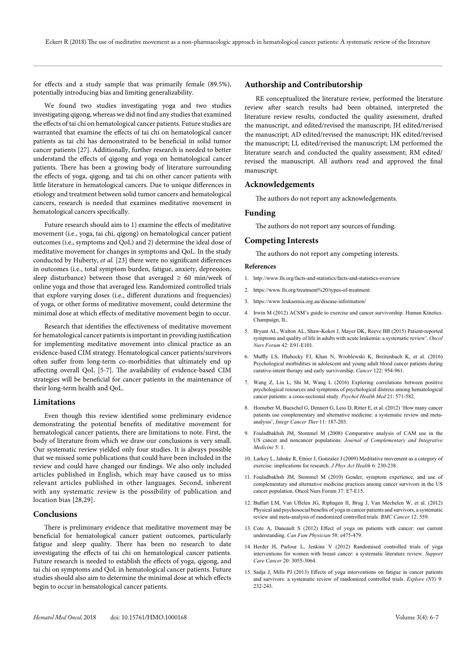for effects and a study sample that was primarily female (89.5%), potentially introducing bias and limiting generalizability.

We found two studies investigating yoga and two studies investigating qigong, whereas we did not find any studies that examined the effects of tai chi on hematological cancer patients. Future studies are warranted that examine the effects of tai chi on hematological cancer patients as tai chi has demonstrated to be beneficial in solid tumor cancer patients [27]. Additionally, further research is needed to better understand the effects of qigong and yoga on hematological cancer patients. There has been a growing body of literature surrounding the effects of yoga, qigong, and tai chi on other cancer patients with little literature in hematological cancers. Due to unique differences in etiology and treatment between solid tumor cancers and hematological cancers, research is needed that examines meditative movement in hematological cancers specifically.

Future research should aim to 1) examine the effects of meditative movement (i.e., yoga, tai chi, qigong) on hematological cancer patient outcomes (i.e., symptoms and QoL) and 2) determine the ideal dose of meditative movement for changes in symptoms and QoL. In the study conducted by Huberty, *et al.* [23] there were no significant differences in outcomes (i.e., total symptom burden, fatigue, anxiety, depression, sleep disturbance) between those that averaged  $\geq 60$  min/week of online yoga and those that averaged less. Randomized controlled trials that explore varying doses (i.e., different durations and frequencies) of yoga, or other forms of meditative movement, could determine the minimal dose at which effects of meditative movement begin to occur.

Research that identifies the effectiveness of meditative movement for hematological cancer patients is important in providing justification for implementing meditative movement into clinical practice as an evidence-based CIM strategy. Hematological cancer patients/survivors often suffer from long-term co-morbidities that ultimately end up affecting overall QoL [5-7]. The availability of evidence-based CIM strategies will be beneficial for cancer patients in the maintenance of their long-term health and QoL.

#### **Limitations**

Even though this review identified some preliminary evidence demonstrating the potential benefits of meditative movement for hematological cancer patients, there are limitations to note. First, the body of literature from which we draw our conclusions is very small. Our systematic review yielded only four studies. It is always possible that we missed some publications that could have been included in the review and could have changed our findings. We also only included articles published in English, which may have caused us to miss relevant articles published in other languages. Second, inherent with any systematic review is the possibility of publication and location bias [28,29].

## **Conclusions**

There is preliminary evidence that meditative movement may be beneficial for hematological cancer patient outcomes, particularly fatigue and sleep quality. There has been no research to date investigating the effects of tai chi on hematological cancer patients. Future research is needed to establish the effects of yoga, qigong, and tai chi on symptoms and QoL in hematological cancer patients. Future studies should also aim to determine the minimal dose at which effects begin to occur in hematological cancer patients.

# **Authorship and Contributorship**

RE conceptualized the literature review, performed the literature review after search results had been obtained, interpreted the literature review results, conducted the quality assessment, drafted the manuscript, and edited/revised the manuscript; JH edited/revised the manuscript; AD edited/revised the manuscript; HK edited/revised the manuscript; LL edited/revised the manuscript; LM performed the literature search and conducted the quality assessment; RM edited/ revised the manuscript. All authors read and approved the final manuscript.

# **Acknowledgements**

The authors do not report any acknowledgements.

# **Funding**

The authors do not report any sources of funding.

# **Competing Interests**

The authors do not report any competing interests.

#### **References**

- 1. http://www.lls.org/facts-and-statistics/facts-and-statistics-overview
- 2. https://www.lls.org/treatment%20/types-of-treatment
- 3. https://www.leukaemia.org.au/disease-information/
- 4. Irwin M (2012) ACSM's guide to exercise and cancer survivorship. Human Kinetics. Champaign, IL.
- 5. Bryant AL, Walton AL, Shaw-Kokot J, Mayer DK, Reeve BB (2015) Patient-reported symptoms and quality of life in adults with acute leukemia: a systematic review'. *Oncol Nurs Forum* 42: E91-E101.
- 6. Muffly LS, Hlubocky FJ, Khan N, Wroblewski K, Breitenbach K, et al. (2016) Psychological morbidities in adolescent and young adult blood cancer patients during curative-intent therapy and early survivorship. *Cancer* 122: 954-961.
- 7. Wang Z, Liu L, Shi M, Wang L (2016) Exploring correlations between positive psychological resources and symptoms of psychological distress among hematological cancer patients: a cross-sectional study. *Psychol Health Med* 21: 571-582.
- 8. Horneber M, Bueschel G, Dennert G, Less D, Ritter E, et al. (2012) 'How many cancer patients use complementary and alternative medicine: a systematic review and metaanalysis', *Integr Cancer Ther* 11: 187-203.
- 9. Fouladbakhsh JM, Stommel M (2008) Comparative analysis of CAM use in the US cancer and noncancer populations. *Journal of Complementary and Integrative Medicine* 5: 1.
- 10. Larkey L, Jahnke R, Etnier J, Gonzalez J (2009) Meditative movement as a category of exercise: implications for research. *J Phys Act Health* 6: 230-238.
- 11. Fouladbakhsh JM, Stommel M (2010) Gender, symptom experience, and use of complementary and alternative medicine practices among cancer survivors in the US cancer population. Oncol Nurs Forum 37: E7-E15.
- 12. Buffart LM, Van Uffelen JG, Riphagen II, Brug J, Van Mechelen W, et al. (2012) Physical and psychosocial benefits of yoga in cancer patients and survivors, a systematic review and meta-analysis of randomized controlled trials. *BMC Cancer* 12: 559.
- 13. Cote A, Daneault S (2012) Effect of yoga on patients with cancer: our current understanding. *Can Fam Physician* 58: e475-479.
- 14. Herder H, Parlour L, Jenkins V (2012) Randomised controlled trials of yoga interventions for women with breast cancer: a systematic literature review. *Support Care Cancer* 20: 3055-3064.
- 15. Sadja J, Mills PJ (2013) Effects of yoga interventions on fatigue in cancer patients and survivors: a systematic review of randomized controlled trials. *Explore (NY)* 9: 232-243.